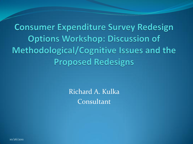**Consumer Expenditure Survey Redesign Options Workshop: Discussion of** Methodological/Cognitive Issues and the **Proposed Redesigns** 

> Richard A. Kulka Consultant

10/26/2011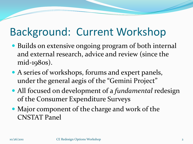#### Background: Current Workshop

- Builds on extensive ongoing program of both internal and external research, advice and review (since the mid-1980s).
- A series of workshops, forums and expert panels, under the general aegis of the "Gemini Project"
- All focused on development of a *fundamental* redesign of the Consumer Expenditure Surveys
- Major component of the charge and work of the CNSTAT Panel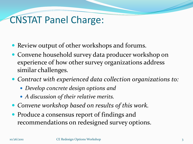#### CNSTAT Panel Charge:

- Review output of other workshops and forums.
- Convene household survey data producer workshop on experience of how other survey organizations address similar challenges.
- *Contract with experienced data collection organizations to:* 
	- *Develop concrete design options and*
	- *A discussion of their relative merits.*
- *Convene workshop based on results of this work.*
- Produce a consensus report of findings and recommendations on redesigned survey options.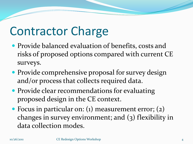## Contractor Charge

- Provide balanced evaluation of benefits, costs and risks of proposed options compared with current CE surveys.
- Provide comprehensive proposal for survey design and/or process that collects required data.
- Provide clear recommendations for evaluating proposed design in the CE context.
- Focus in particular on: (1) measurement error; (2) changes in survey environment; and (3) flexibility in data collection modes.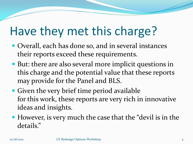## Have they met this charge?

- Overall, each has done so, and in several instances their reports exceed these requirements.
- But: there are also several more implicit questions in this charge and the potential value that these reports may provide for the Panel and BLS.
- Given the very brief time period available for this work, these reports are very rich in innovative ideas and insights.
- However, is very much the case that the "devil is in the details."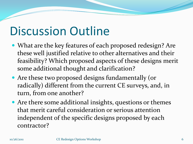#### Discussion Outline

- What are the key features of each proposed redesign? Are these well justified relative to other alternatives and their feasibility? Which proposed aspects of these designs merit some additional thought and clarification?
- Are these two proposed designs fundamentally (or radically) different from the current CE surveys, and, in turn, from one another?
- Are there some additional insights, questions or themes that merit careful consideration or serious attention independent of the specific designs proposed by each contractor?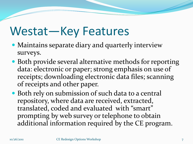## Westat—Key Features

- Maintains separate diary and quarterly interview surveys.
- Both provide several alternative methods for reporting data: electronic or paper; strong emphasis on use of receipts; downloading electronic data files; scanning of receipts and other paper.
- Both rely on submission of such data to a central repository, where data are received, extracted, translated, coded and evaluated with "smart" prompting by web survey or telephone to obtain additional information required by the CE program.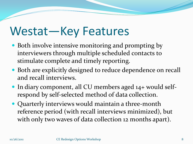## Westat—Key Features

- Both involve intensive monitoring and prompting by interviewers through multiple scheduled contacts to stimulate complete and timely reporting.
- Both are explicitly designed to reduce dependence on recall and recall interviews.
- In diary component, all CU members aged 14+ would selfrespond by self-selected method of data collection.
- Quarterly interviews would maintain a three-month reference period (with recall interviews minimized), but with only two waves of data collection 12 months apart).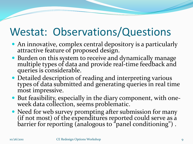#### Westat: Observations/Questions

- An innovative, complex central depository is a particularly attractive feature of proposed design.
- Burden on this system to receive and dynamically manage multiple types of data and provide real-time feedback and queries is considerable.
- Detailed description of reading and interpreting various types of data submitted and generating queries in real time most impressive.
- But feasibility, especially in the diary component, with oneweek data collection, seems problematic.
- Need for web survey prompting after submission for many (if not most) of the expenditures reported could serve as a barrier for reporting (analogous to "panel conditioning") .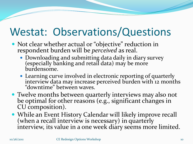#### Westat: Observations/Questions

- Not clear whether actual or "objective" reduction in respondent burden will be *perceived* as real.
	- Downloading and submitting data daily in diary survey (especially banking and retail data) may be more burdensome.
	- Learning curve involved in electronic reporting of quarterly interview data may increase perceived burden with 12 months "downtime" between waves.
- Twelve months between quarterly interviews may also not be optimal for other reasons (e.g., significant changes in CU composition).
- While an Event History Calendar will likely improve recall (when a recall interview is necessary) in quarterly interview, its value in a one week diary seems more limited.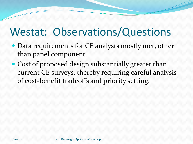#### Westat: Observations/Questions

- Data requirements for CE analysts mostly met, other than panel component.
- Cost of proposed design substantially greater than current CE surveys, thereby requiring careful analysis of cost-benefit tradeoffs and priority setting.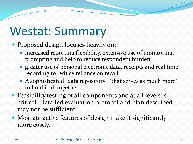## Westat: Summary

- Proposed design focuses heavily on:
	- increased reporting flexibility, extensive use of monitoring, prompting and help to reduce respondent burden
	- greater use of personal electronic data, receipts and real time recording to reduce reliance on recall.
	- A sophisticated "data repository" (that serves as much more) to hold it all together.
- Feasibility testing of all components and at all levels is critical. Detailed evaluation protocol and plan described may not be sufficient.
- Most attractive features of design make it significantly more costly.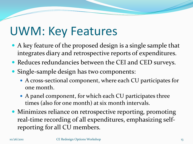## UWM: Key Features

- A key feature of the proposed design is a single sample that integrates diary and retrospective reports of expenditures.
- Reduces redundancies between the CEI and CED surveys.
- Single-sample design has two components:
	- A cross-sectional component, where each CU participates for one month.
	- A panel component, for which each CU participates three times (also for one month) at six month intervals.
- Minimizes reliance on retrospective reporting, promoting real-time recording of all expenditures, emphasizing selfreporting for all CU members.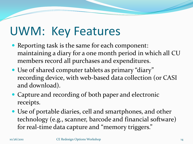## UWM: Key Features

- Reporting task is the same for each component: maintaining a diary for a one month period in which all CU members record all purchases and expenditures.
- Use of shared computer tablets as primary "diary" recording device, with web-based data collection (or CASI and download).
- Capture and recording of both paper and electronic receipts.
- Use of portable diaries, cell and smartphones, and other technology (e.g., scanner, barcode and financial software) for real-time data capture and "memory triggers."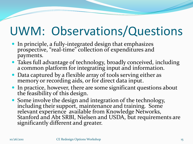## UWM: Observations/Questions

- In principle, a fully-integrated design that emphasizes prospective, "real-time" collection of expenditures and payments.
- Takes full advantage of technology, broadly conceived, including a common platform for integrating input and information.
- Data captured by a flexible array of tools serving either as memory or recording aids, or for direct data input.
- In practice, however, there are some significant questions about the feasibility of this design.
- Some involve the design and integration of the technology, including their support, maintenance and training. Some relevant experience available from Knowledge Networks, Stanford and Abt SRBI, Nielsen and USDA, but requirements are significantly different and greater.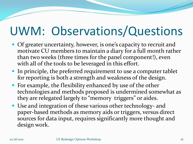## UWM: Observations/Questions

- Of greater uncertainty, however, is one's capacity to recruit and motivate CU members to maintain a diary for a full month rather than two weeks (three times for the panel component!), even with all of the tools to be leveraged in this effort.
- In principle, the preferred requirement to use a computer tablet for reporting is both a strength and weakness of the design.
- For example, the flexibility enhanced by use of the other technologies and methods proposed is undermined somewhat as they are relegated largely to "memory triggers" or aides.
- Use and integration of these various other technology- and paper-based methods as memory aids or triggers, versus direct sources for data input, requires significantly more thought and design work.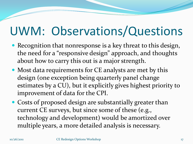## UWM: Observations/Questions

- Recognition that nonresponse is a key threat to this design, the need for a "responsive design" approach, and thoughts about how to carry this out is a major strength.
- Most data requirements for CE analysts are met by this design (one exception being quarterly panel change estimates by a CU), but it explicitly gives highest priority to improvement of data for the CPI.
- Costs of proposed design are substantially greater than current CE surveys, but since some of these (e.g., technology and development) would be amortized over multiple years, a more detailed analysis is necessary.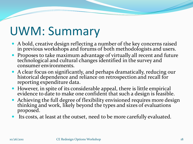## UWM: Summary

- A bold, creative design reflecting a number of the key concerns raised in previous workshops and forums of both methodologists and users.
- Proposes to take maximum advantage of virtually all recent and future technological and cultural changes identified in the survey and consumer environments.
- A clear focus on significantly, and perhaps dramatically, reducing our historical dependence and reliance on retrospection and recall for reporting expenditure data.
- However, in spite of its considerable appeal, there is little empirical evidence to date to make one confident that such a design is feasible.
- Achieving the full degree of flexibility envisioned requires more design thinking and work, likely beyond the types and sizes of evaluations proposed.
- Its costs, at least at the outset, need to be more carefully evaluated.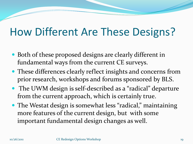#### How Different Are These Designs?

- Both of these proposed designs are clearly different in fundamental ways from the current CE surveys.
- These differences clearly reflect insights and concerns from prior research, workshops and forums sponsored by BLS.
- The UWM design is self-described as a "radical" departure from the current approach, which is certainly true.
- The Westat design is somewhat less "radical," maintaining more features of the current design, but with some important fundamental design changes as well.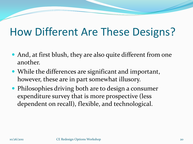#### How Different Are These Designs?

- And, at first blush, they are also quite different from one another.
- While the differences are significant and important, however, these are in part somewhat illusory.
- Philosophies driving both are to design a consumer expenditure survey that is more prospective (less dependent on recall), flexible, and technological.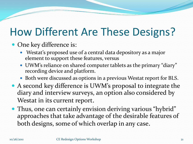#### How Different Are These Designs?

#### • One key difference is:

- Westat's proposed use of a central data depository as a major element to support these features, versus
- UWM's reliance on shared computer tablets as the primary "diary" recording device and platform.
- Both were discussed as options in a previous Westat report for BLS.
- A second key difference is UWM's proposal to integrate the diary and interview surveys, an option also considered by Westat in its current report.
- Thus, one can certainly envision deriving various "hybrid" approaches that take advantage of the desirable features of both designs, some of which overlap in any case.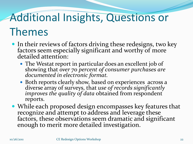## Additional Insights, Questions or

#### Themes

- In their reviews of factors driving these redesigns, two key factors seem especially significant and worthy of more detailed attention:
	- The Westat report in particular does an excellent job of showing that *over 70 percent of consumer purchases are documented in electronic format.*
	- Both reports clearly show, based on experiences across a diverse array of surveys, that *use of records significantly improves the quality of data* obtained from respondent reports.
- While each proposed design encompasses key features that recognize and attempt to address and leverage these factors, these observations seem dramatic and significant enough to merit more detailed investigation.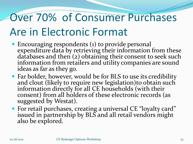#### Over 70% of Consumer Purchases Are in Electronic Format

- Encouraging respondents (1) to provide personal expenditure data by retrieving their information from these databases and then (2) obtaining their consent to seek such information from retailers and utility companies are sound ideas as far as they go.
- Far bolder, however, would be for BLS to use its credibility and clout (likely to require new legislation)to obtain such information directly for all CE households (with their consent) from all holders of these electronic records (as suggested by Westat).
- For retail purchases, creating a universal CE "loyalty card" issued in partnership by BLS and all retail vendors might also be explored.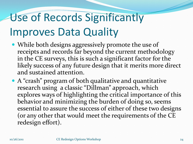# Use of Records Significantly Improves Data Quality

- While both designs aggressively promote the use of receipts and records far beyond the current methodology in the CE surveys, this is such a significant factor for the likely success of any future design that it merits more direct and sustained attention.
- A "crash" program of both qualitative and quantitative research using a classic "Dillman" approach, which explores ways of highlighting the critical importance of this behavior and minimizing the burden of doing so, seems essential to assure the success of either of these two designs (or any other that would meet the requirements of the CE redesign effort).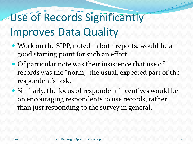# Use of Records Significantly Improves Data Quality

- Work on the SIPP, noted in both reports, would be a good starting point for such an effort.
- Of particular note was their insistence that use of records was the "norm," the usual, expected part of the respondent's task.
- Similarly, the focus of respondent incentives would be on encouraging respondents to use records, rather than just responding to the survey in general.